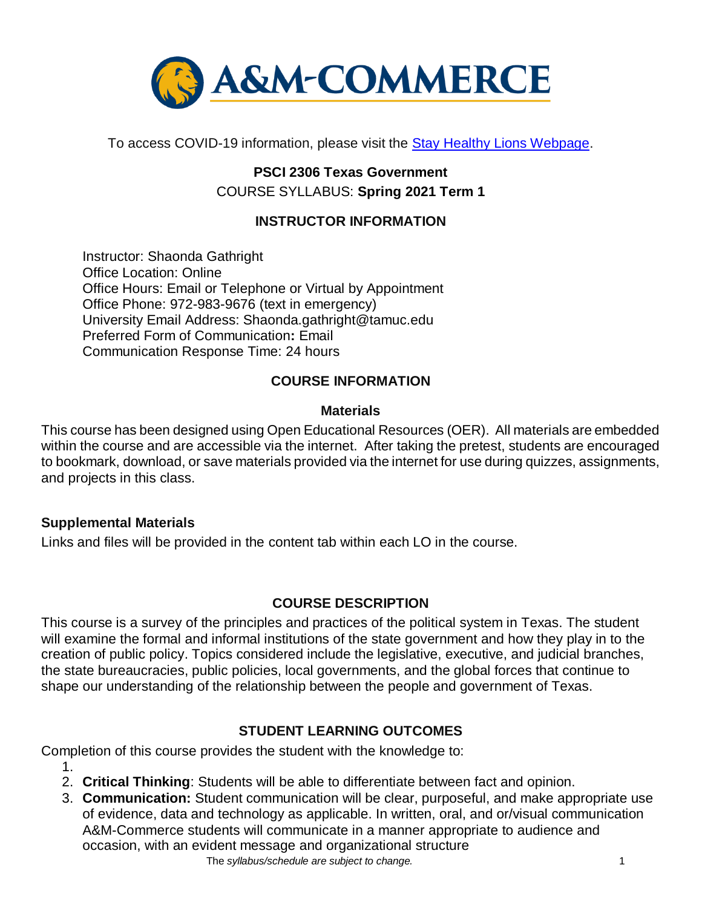

To access COVID-19 information, please visit the **Stay Healthy Lions Webpage**.

# **PSCI 2306 Texas Government** COURSE SYLLABUS: **Spring 2021 Term 1**

## **INSTRUCTOR INFORMATION**

Instructor: Shaonda Gathright Office Location: Online Office Hours: Email or Telephone or Virtual by Appointment Office Phone: 972-983-9676 (text in emergency) University Email Address: Shaonda.gathright@tamuc.edu Preferred Form of Communication**:** Email Communication Response Time: 24 hours

## **COURSE INFORMATION**

### **Materials**

This course has been designed using Open Educational Resources (OER). All materials are embedded within the course and are accessible via the internet. After taking the pretest, students are encouraged to bookmark, download, or save materials provided via the internet for use during quizzes, assignments, and projects in this class.

### **Supplemental Materials**

Links and files will be provided in the content tab within each LO in the course.

### **[COURSE DESCRIPTION](http://catalog.tamuc.edu/undergrad/colleges-and-departments/college-of-innovation-design/baas-organizational-leadership/?_ga=2.81546143.928332977.1616426723-584154711.1595512675)**

This course is a survey of the principles and practices of the political system in Texas. The student will examine the formal and informal institutions of the state government and how they play in to the creation of public policy. Topics considered include the legislative, executive, and judicial branches, the state bureaucracies, public policies, local governments, and the global forces that continue to shape our understanding of the relationship between the people and government of Texas.

### **STUDENT LEARNING OUTCOMES**

Completion of this course provides the student with the knowledge to:

- 1.
- 2. **Critical Thinking**: Students will be able to differentiate between fact and opinion.
- 3. **Communication:** Student communication will be clear, purposeful, and make appropriate use of evidence, data and technology as applicable. In written, oral, and or/visual communication A&M-Commerce students will communicate in a manner appropriate to audience and occasion, with an evident message and organizational structure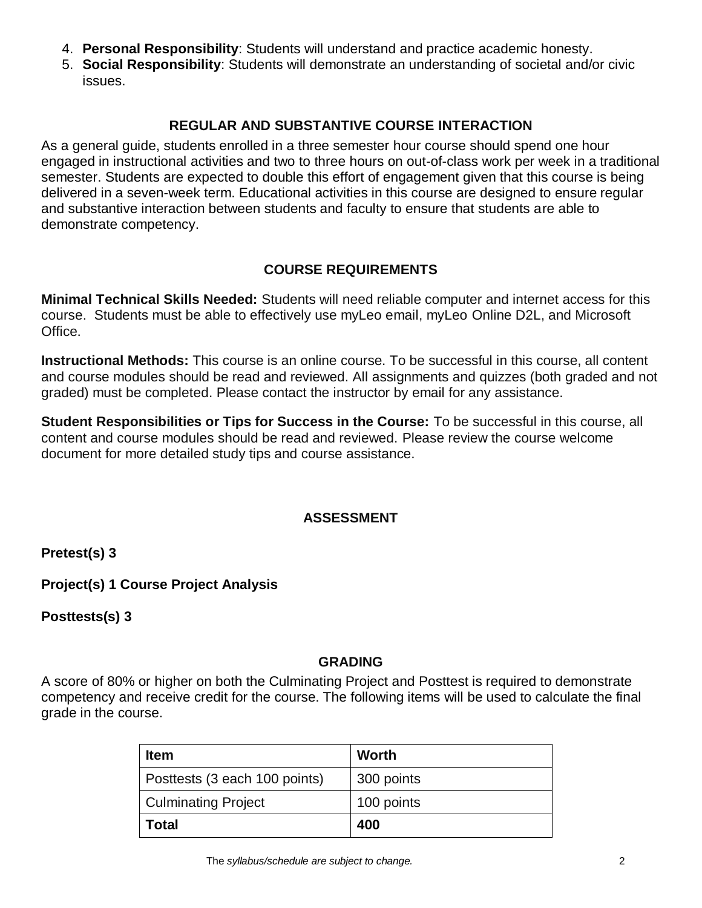- 4. **Personal Responsibility**: Students will understand and practice academic honesty.
- 5. **Social Responsibility**: Students will demonstrate an understanding of societal and/or civic issues.

## **REGULAR AND SUBSTANTIVE COURSE INTERACTION**

As a general guide, students enrolled in a three semester hour course should spend one hour engaged in instructional activities and two to three hours on out-of-class work per week in a traditional semester. Students are expected to double this effort of engagement given that this course is being delivered in a seven-week term. Educational activities in this course are designed to ensure regular and substantive interaction between students and faculty to ensure that students are able to demonstrate competency.

### **COURSE REQUIREMENTS**

**Minimal Technical Skills Needed:** Students will need reliable computer and internet access for this course. Students must be able to effectively use myLeo email, myLeo Online D2L, and Microsoft Office.

**Instructional Methods:** This course is an online course. To be successful in this course, all content and course modules should be read and reviewed. All assignments and quizzes (both graded and not graded) must be completed. Please contact the instructor by email for any assistance.

**Student Responsibilities or Tips for Success in the Course:** To be successful in this course, all content and course modules should be read and reviewed. Please review the course welcome document for more detailed study tips and course assistance.

### **ASSESSMENT**

**Pretest(s) 3**

**Project(s) 1 Course Project Analysis**

**Posttests(s) 3** 

### **GRADING**

A score of 80% or higher on both the Culminating Project and Posttest is required to demonstrate competency and receive credit for the course. The following items will be used to calculate the final grade in the course.

| <b>Item</b>                   | Worth      |
|-------------------------------|------------|
| Posttests (3 each 100 points) | 300 points |
| <b>Culminating Project</b>    | 100 points |
| Total                         | 400        |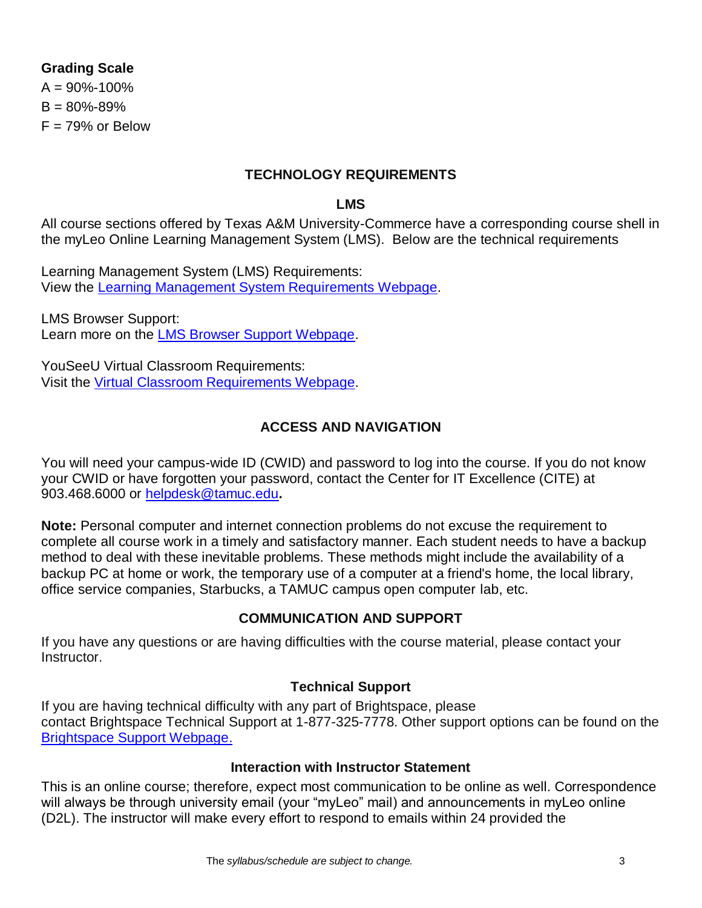### **Grading Scale**

 $A = 90\% - 100\%$  $B = 80\% - 89\%$  $F = 79%$  or Below

#### **TECHNOLOGY REQUIREMENTS**

#### **LMS**

All course sections offered by Texas A&M University-Commerce have a corresponding course shell in the myLeo Online Learning Management System (LMS). Below are the technical requirements

Learning Management System (LMS) Requirements: View the [Learning Management System Requirements Webpage.](https://community.brightspace.com/s/article/Brightspace-Platform-Requirements)

LMS Browser Support: Learn more on the [LMS Browser Support Webpage.](https://documentation.brightspace.com/EN/brightspace/requirements/all/browser_support.htm)

YouSeeU Virtual Classroom Requirements: Visit the [Virtual Classroom Requirements Webpage.](https://support.youseeu.com/hc/en-us/articles/115007031107-Basic-System-Requirements)

### **ACCESS AND NAVIGATION**

You will need your campus-wide ID (CWID) and password to log into the course. If you do not know your CWID or have forgotten your password, contact the Center for IT Excellence (CITE) at 903.468.6000 or [helpdesk@tamuc.edu](mailto:helpdesk@tamuc.edu)**.**

**Note:** Personal computer and internet connection problems do not excuse the requirement to complete all course work in a timely and satisfactory manner. Each student needs to have a backup method to deal with these inevitable problems. These methods might include the availability of a backup PC at home or work, the temporary use of a computer at a friend's home, the local library, office service companies, Starbucks, a TAMUC campus open computer lab, etc.

#### **COMMUNICATION AND SUPPORT**

If you have any questions or are having difficulties with the course material, please contact your Instructor.

#### **Technical Support**

If you are having technical difficulty with any part of Brightspace, please contact Brightspace Technical Support at 1-877-325-7778. Other support options can be found on the [Brightspace Support Webpage.](https://community.brightspace.com/support/s/contactsupport)

#### **Interaction with Instructor Statement**

This is an online course; therefore, expect most communication to be online as well. Correspondence will always be through university email (your "myLeo" mail) and announcements in myLeo online (D2L). The instructor will make every effort to respond to emails within 24 provided the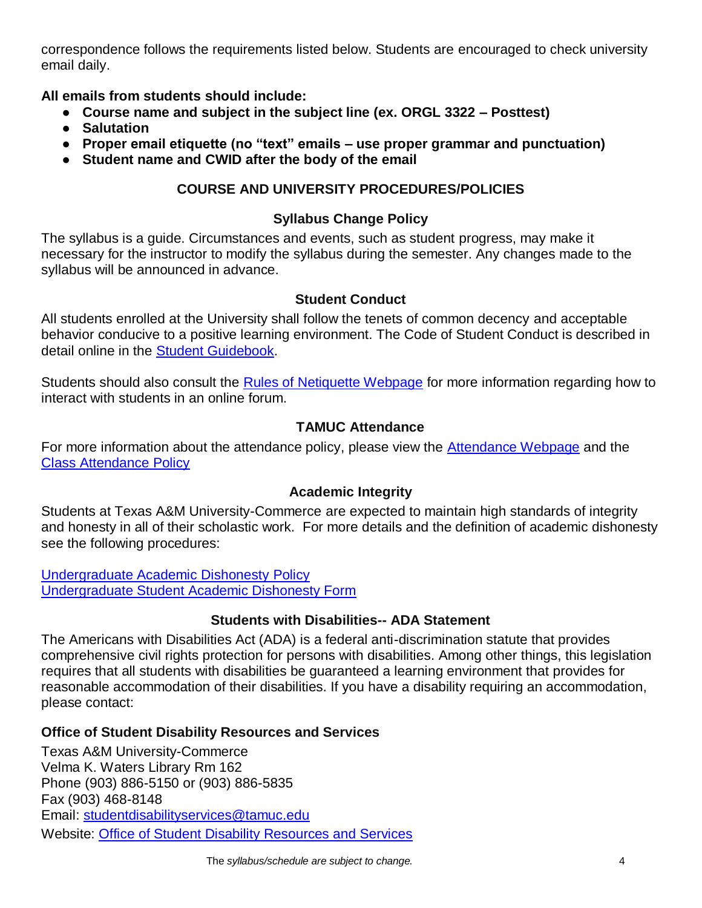correspondence follows the requirements listed below. Students are encouraged to check university email daily.

**All emails from students should include:**

- **Course name and subject in the subject line (ex. ORGL 3322 – Posttest)**
- **Salutation**
- **Proper email etiquette (no "text" emails – use proper grammar and punctuation)**
- **Student name and CWID after the body of the email**

### **COURSE AND UNIVERSITY PROCEDURES/POLICIES**

#### **Syllabus Change Policy**

The syllabus is a guide. Circumstances and events, such as student progress, may make it necessary for the instructor to modify the syllabus during the semester. Any changes made to the syllabus will be announced in advance.

#### **Student Conduct**

All students enrolled at the University shall follow the tenets of common decency and acceptable behavior conducive to a positive learning environment. The Code of Student Conduct is described in detail online in the **Student Guidebook**.

Students should also consult the [Rules of Netiquette Webpage](https://www.britannica.com/topic/netiquette) for more information regarding how to interact with students in an online forum.

### **TAMUC Attendance**

For more information about the attendance policy, please view the [Attendance Webpage](http://www.tamuc.edu/admissions/registrar/generalInformation/attendance.aspx) and the [Class Attendance Policy](http://www.tamuc.edu/aboutUs/policiesProceduresStandardsStatements/rulesProcedures/13students/academic/13.99.99.R0.01.pdf)

#### **Academic Integrity**

Students at Texas A&M University-Commerce are expected to maintain high standards of integrity and honesty in all of their scholastic work. For more details and the definition of academic dishonesty see the following procedures:

[Undergraduate Academic Dishonesty P](http://www.tamuc.edu/aboutUs/policiesProceduresStandardsStatements/rulesProcedures/13students/undergraduates/13.99.99.R0.03UndergraduateAcademicDishonesty.pdf)olicy [Undergraduate Student Academic Dishonesty Form](http://www.tamuc.edu/aboutUs/policiesProceduresStandardsStatements/rulesProcedures/documents/13.99.99.R0.03UndergraduateStudentAcademicDishonestyForm.pdf)

#### **Students with Disabilities-- ADA Statement**

The Americans with Disabilities Act (ADA) is a federal anti-discrimination statute that provides comprehensive civil rights protection for persons with disabilities. Among other things, this legislation requires that all students with disabilities be guaranteed a learning environment that provides for reasonable accommodation of their disabilities. If you have a disability requiring an accommodation, please contact:

#### **Office of Student Disability Resources and Services**

Texas A&M University-Commerce Velma K. Waters Library Rm 162 Phone (903) 886-5150 or (903) 886-5835 Fax (903) 468-8148 Email: [studentdisabilityservices@tamuc.edu](mailto:studentdisabilityservices@tamuc.edu) Website: [Office of Student Disability Resources and Services](http://www.tamuc.edu/campusLife/campusServices/studentDisabilityResourcesAndServices/)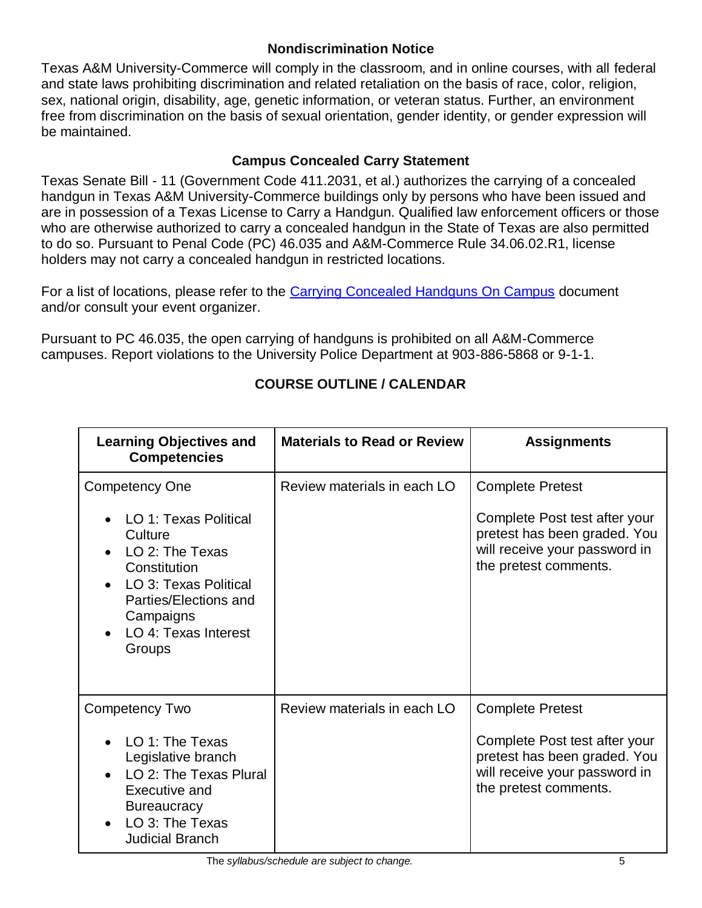### **Nondiscrimination Notice**

Texas A&M University-Commerce will comply in the classroom, and in online courses, with all federal and state laws prohibiting discrimination and related retaliation on the basis of race, color, religion, sex, national origin, disability, age, genetic information, or veteran status. Further, an environment free from discrimination on the basis of sexual orientation, gender identity, or gender expression will be maintained.

# **Campus Concealed Carry Statement**

Texas Senate Bill - 11 (Government Code 411.2031, et al.) authorizes the carrying of a concealed handgun in Texas A&M University-Commerce buildings only by persons who have been issued and are in possession of a Texas License to Carry a Handgun. Qualified law enforcement officers or those who are otherwise authorized to carry a concealed handgun in the State of Texas are also permitted to do so. Pursuant to Penal Code (PC) 46.035 and A&M-Commerce Rule 34.06.02.R1, license holders may not carry a concealed handgun in restricted locations.

For a list of locations, please refer to the [Carrying Concealed Handguns On Campus](http://www.tamuc.edu/aboutUs/policiesProceduresStandardsStatements/rulesProcedures/34SafetyOfEmployeesAndStudents/34.06.02.R1.pdf) document and/or consult your event organizer.

Pursuant to PC 46.035, the open carrying of handguns is prohibited on all A&M-Commerce campuses. Report violations to the University Police Department at 903-886-5868 or 9-1-1.

| <b>Learning Objectives and</b><br><b>Competencies</b>                                                                                                                                                        | <b>Materials to Read or Review</b> | <b>Assignments</b>                                                                                                                                 |
|--------------------------------------------------------------------------------------------------------------------------------------------------------------------------------------------------------------|------------------------------------|----------------------------------------------------------------------------------------------------------------------------------------------------|
| <b>Competency One</b><br>• LO 1: Texas Political<br>Culture<br>LO 2: The Texas<br>Constitution<br>LO 3: Texas Political<br>Parties/Elections and<br>Campaigns<br>LO 4: Texas Interest<br>$\bullet$<br>Groups | Review materials in each LO        | <b>Complete Pretest</b><br>Complete Post test after your<br>pretest has been graded. You<br>will receive your password in<br>the pretest comments. |
| <b>Competency Two</b><br>LO 1: The Texas<br>Legislative branch<br>LO 2: The Texas Plural<br>Executive and<br><b>Bureaucracy</b><br>LO 3: The Texas<br>$\bullet$<br><b>Judicial Branch</b>                    | Review materials in each LO        | <b>Complete Pretest</b><br>Complete Post test after your<br>pretest has been graded. You<br>will receive your password in<br>the pretest comments. |

# **COURSE OUTLINE / CALENDAR**